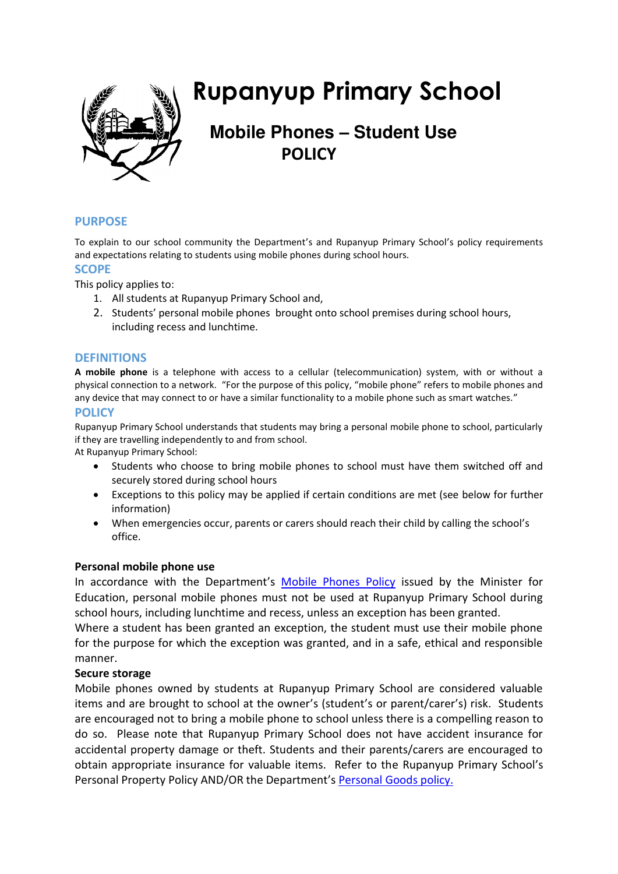

# **Rupanyup Primary School**

# **Mobile Phones – Student Use POLICY**

# **PURPOSE**

To explain to our school community the Department's and Rupanyup Primary School's policy requirements and expectations relating to students using mobile phones during school hours.

# **SCOPE**

This policy applies to:

- 1. All students at Rupanyup Primary School and,
- 2. Students' personal mobile phones brought onto school premises during school hours, including recess and lunchtime.

#### **DEFINITIONS**

**A mobile phone** is a telephone with access to a cellular (telecommunication) system, with or without a physical connection to a network. "For the purpose of this policy, "mobile phone" refers to mobile phones and any device that may connect to or have a similar functionality to a mobile phone such as smart watches."

#### **POLICY**

Rupanyup Primary School understands that students may bring a personal mobile phone to school, particularly if they are travelling independently to and from school.

At Rupanyup Primary School:

- Students who choose to bring mobile phones to school must have them switched off and securely stored during school hours
- Exceptions to this policy may be applied if certain conditions are met (see below for further information)
- When emergencies occur, parents or carers should reach their child by calling the school's office.

# **Personal mobile phone use**

In accordance with the Department's [Mobile Phones Policy](https://www.education.vic.gov.au/school/principals/spag/safety/Pages/mobilephones.aspx) issued by the Minister for Education, personal mobile phones must not be used at Rupanyup Primary School during school hours, including lunchtime and recess, unless an exception has been granted.

Where a student has been granted an exception, the student must use their mobile phone for the purpose for which the exception was granted, and in a safe, ethical and responsible manner.

# **Secure storage**

Mobile phones owned by students at Rupanyup Primary School are considered valuable items and are brought to school at the owner's (student's or parent/carer's) risk. Students are encouraged not to bring a mobile phone to school unless there is a compelling reason to do so. Please note that Rupanyup Primary School does not have accident insurance for accidental property damage or theft. Students and their parents/carers are encouraged to obtain appropriate insurance for valuable items. Refer to the Rupanyup Primary School's Personal Property Policy AND/OR the Department's [Personal Goods](https://www.education.vic.gov.au/school/principals/spag/governance/pages/personalgoods.aspx) policy.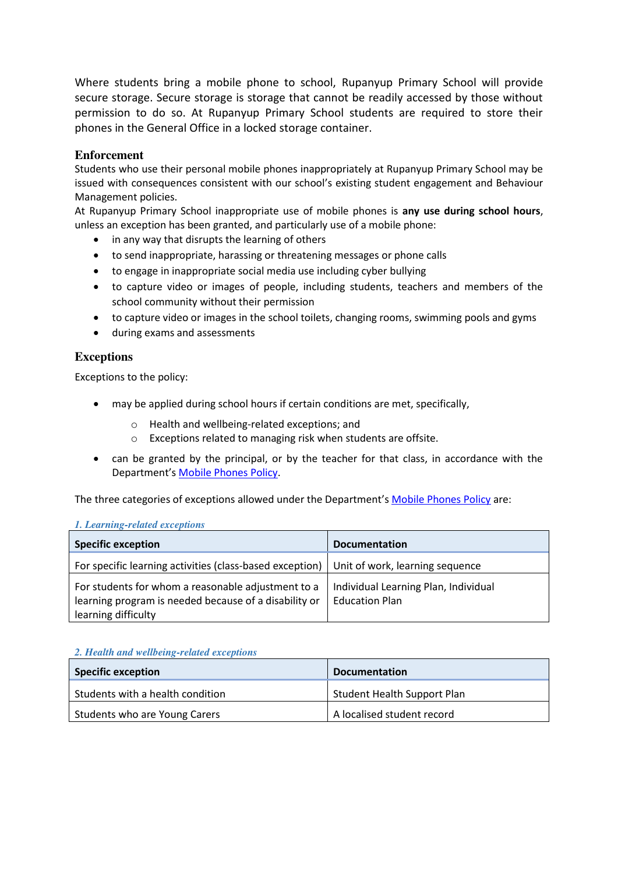Where students bring a mobile phone to school, Rupanyup Primary School will provide secure storage. Secure storage is storage that cannot be readily accessed by those without permission to do so. At Rupanyup Primary School students are required to store their phones in the General Office in a locked storage container.

### **Enforcement**

Students who use their personal mobile phones inappropriately at Rupanyup Primary School may be issued with consequences consistent with our school's existing student engagement and Behaviour Management policies.

At Rupanyup Primary School inappropriate use of mobile phones is **any use during school hours**, unless an exception has been granted, and particularly use of a mobile phone:

- in any way that disrupts the learning of others
- to send inappropriate, harassing or threatening messages or phone calls
- to engage in inappropriate social media use including cyber bullying
- to capture video or images of people, including students, teachers and members of the school community without their permission
- to capture video or images in the school toilets, changing rooms, swimming pools and gyms
- during exams and assessments

# **Exceptions**

Exceptions to the policy:

- may be applied during school hours if certain conditions are met, specifically,
	- o Health and wellbeing-related exceptions; and
	- o Exceptions related to managing risk when students are offsite.
- can be granted by the principal, or by the teacher for that class, in accordance with the Department's [Mobile Phones Policy.](https://www.education.vic.gov.au/school/principals/spag/safety/Pages/mobilephones.aspx)

The three categories of exceptions allowed under the Department's [Mobile Phones Policy](https://www.education.vic.gov.au/school/principals/spag/safety/Pages/mobilephones.aspx) are:

#### *1. Learning-related exceptions*

| <b>Specific exception</b>                                                                                                          | <b>Documentation</b>                                          |
|------------------------------------------------------------------------------------------------------------------------------------|---------------------------------------------------------------|
| For specific learning activities (class-based exception)                                                                           | Unit of work, learning sequence                               |
| For students for whom a reasonable adjustment to a<br>learning program is needed because of a disability or<br>learning difficulty | Individual Learning Plan, Individual<br><b>Education Plan</b> |

#### *2. Health and wellbeing-related exceptions*

| <b>Specific exception</b>        | <b>Documentation</b>               |
|----------------------------------|------------------------------------|
| Students with a health condition | <b>Student Health Support Plan</b> |
| Students who are Young Carers    | A localised student record         |